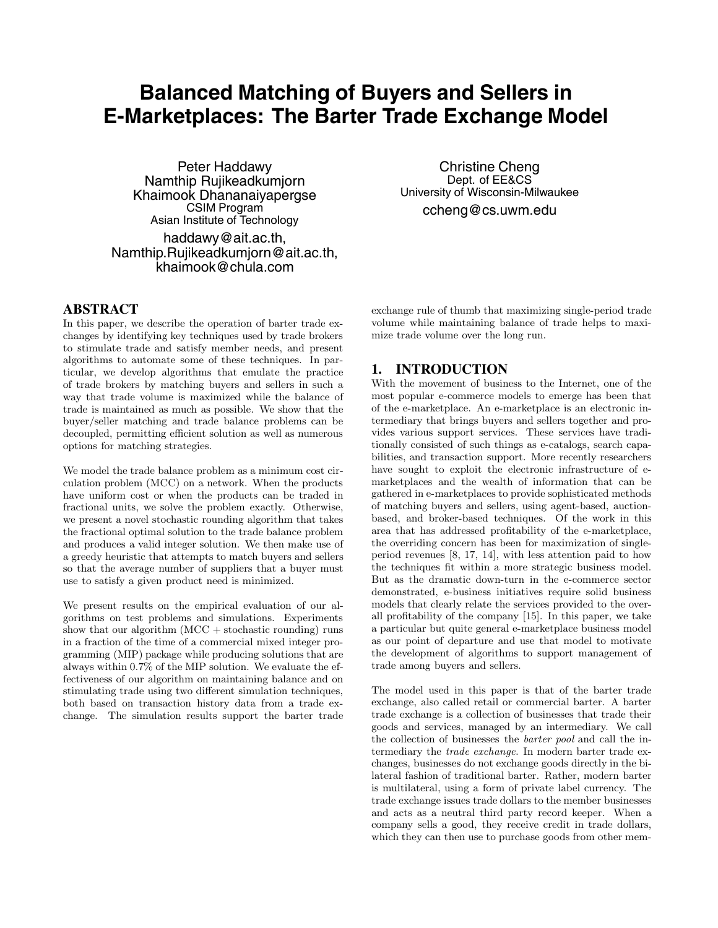# **Balanced Matching of Buyers and Sellers in E-Marketplaces: The Barter Trade Exchange Model**

Peter Haddawy Namthip Rujikeadkumjorn Khaimook Dhananaiyapergse CSIM Program Asian Institute of Technology haddawy@ait.ac.th, Namthip.Rujikeadkumjorn@ait.ac.th, khaimook@chula.com

Christine Cheng Dept. of EE&CS University of Wisconsin-Milwaukee ccheng@cs.uwm.edu

### **ABSTRACT**

In this paper, we describe the operation of barter trade exchanges by identifying key techniques used by trade brokers to stimulate trade and satisfy member needs, and present algorithms to automate some of these techniques. In particular, we develop algorithms that emulate the practice of trade brokers by matching buyers and sellers in such a way that trade volume is maximized while the balance of trade is maintained as much as possible. We show that the buyer/seller matching and trade balance problems can be decoupled, permitting efficient solution as well as numerous options for matching strategies.

We model the trade balance problem as a minimum cost circulation problem (MCC) on a network. When the products have uniform cost or when the products can be traded in fractional units, we solve the problem exactly. Otherwise, we present a novel stochastic rounding algorithm that takes the fractional optimal solution to the trade balance problem and produces a valid integer solution. We then make use of a greedy heuristic that attempts to match buyers and sellers so that the average number of suppliers that a buyer must use to satisfy a given product need is minimized.

We present results on the empirical evaluation of our algorithms on test problems and simulations. Experiments show that our algorithm (MCC + stochastic rounding) runs in a fraction of the time of a commercial mixed integer programming (MIP) package while producing solutions that are always within 0.7% of the MIP solution. We evaluate the effectiveness of our algorithm on maintaining balance and on stimulating trade using two different simulation techniques, both based on transaction history data from a trade exchange. The simulation results support the barter trade

exchange rule of thumb that maximizing single-period trade volume while maintaining balance of trade helps to maximize trade volume over the long run.

## **1. INTRODUCTION**

With the movement of business to the Internet, one of the most popular e-commerce models to emerge has been that of the e-marketplace. An e-marketplace is an electronic intermediary that brings buyers and sellers together and provides various support services. These services have traditionally consisted of such things as e-catalogs, search capabilities, and transaction support. More recently researchers have sought to exploit the electronic infrastructure of emarketplaces and the wealth of information that can be gathered in e-marketplaces to provide sophisticated methods of matching buyers and sellers, using agent-based, auctionbased, and broker-based techniques. Of the work in this area that has addressed profitability of the e-marketplace, the overriding concern has been for maximization of singleperiod revenues [8, 17, 14], with less attention paid to how the techniques fit within a more strategic business model. But as the dramatic down-turn in the e-commerce sector demonstrated, e-business initiatives require solid business models that clearly relate the services provided to the overall profitability of the company [15]. In this paper, we take a particular but quite general e-marketplace business model as our point of departure and use that model to motivate the development of algorithms to support management of trade among buyers and sellers.

The model used in this paper is that of the barter trade exchange, also called retail or commercial barter. A barter trade exchange is a collection of businesses that trade their goods and services, managed by an intermediary. We call the collection of businesses the barter pool and call the intermediary the trade exchange. In modern barter trade exchanges, businesses do not exchange goods directly in the bilateral fashion of traditional barter. Rather, modern barter is multilateral, using a form of private label currency. The trade exchange issues trade dollars to the member businesses and acts as a neutral third party record keeper. When a company sells a good, they receive credit in trade dollars, which they can then use to purchase goods from other mem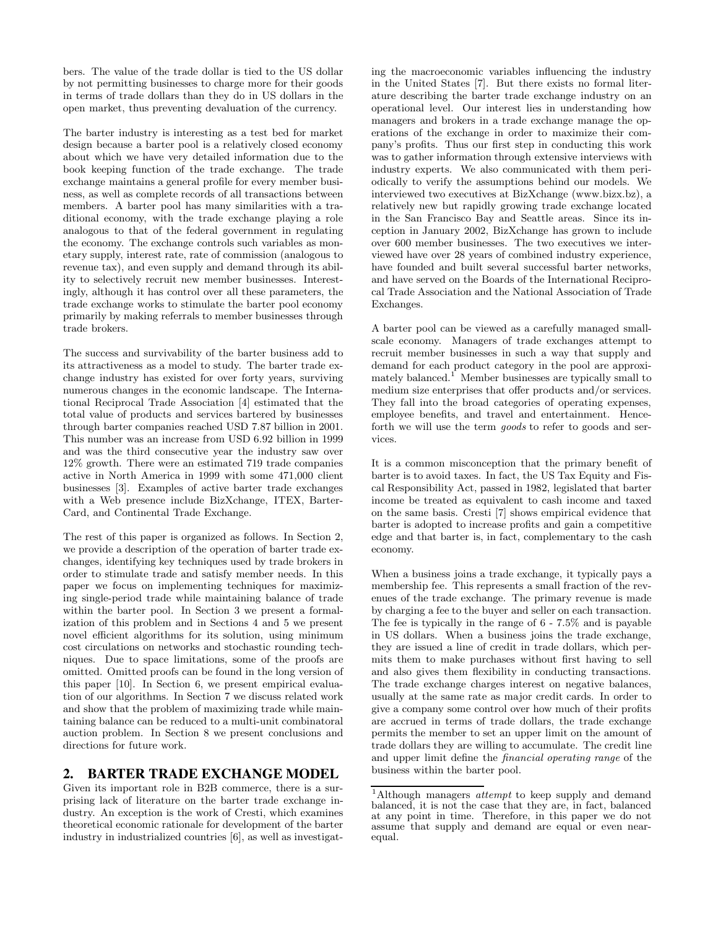bers. The value of the trade dollar is tied to the US dollar by not permitting businesses to charge more for their goods in terms of trade dollars than they do in US dollars in the open market, thus preventing devaluation of the currency.

The barter industry is interesting as a test bed for market design because a barter pool is a relatively closed economy about which we have very detailed information due to the book keeping function of the trade exchange. The trade exchange maintains a general profile for every member business, as well as complete records of all transactions between members. A barter pool has many similarities with a traditional economy, with the trade exchange playing a role analogous to that of the federal government in regulating the economy. The exchange controls such variables as monetary supply, interest rate, rate of commission (analogous to revenue tax), and even supply and demand through its ability to selectively recruit new member businesses. Interestingly, although it has control over all these parameters, the trade exchange works to stimulate the barter pool economy primarily by making referrals to member businesses through trade brokers.

The success and survivability of the barter business add to its attractiveness as a model to study. The barter trade exchange industry has existed for over forty years, surviving numerous changes in the economic landscape. The International Reciprocal Trade Association [4] estimated that the total value of products and services bartered by businesses through barter companies reached USD 7.87 billion in 2001. This number was an increase from USD 6.92 billion in 1999 and was the third consecutive year the industry saw over 12% growth. There were an estimated 719 trade companies active in North America in 1999 with some 471,000 client businesses [3]. Examples of active barter trade exchanges with a Web presence include BizXchange, ITEX, Barter-Card, and Continental Trade Exchange.

The rest of this paper is organized as follows. In Section 2, we provide a description of the operation of barter trade exchanges, identifying key techniques used by trade brokers in order to stimulate trade and satisfy member needs. In this paper we focus on implementing techniques for maximizing single-period trade while maintaining balance of trade within the barter pool. In Section 3 we present a formalization of this problem and in Sections 4 and 5 we present novel efficient algorithms for its solution, using minimum cost circulations on networks and stochastic rounding techniques. Due to space limitations, some of the proofs are omitted. Omitted proofs can be found in the long version of this paper [10]. In Section 6, we present empirical evaluation of our algorithms. In Section 7 we discuss related work and show that the problem of maximizing trade while maintaining balance can be reduced to a multi-unit combinatoral auction problem. In Section 8 we present conclusions and directions for future work.

## **2. BARTER TRADE EXCHANGE MODEL**

Given its important role in B2B commerce, there is a surprising lack of literature on the barter trade exchange industry. An exception is the work of Cresti, which examines theoretical economic rationale for development of the barter industry in industrialized countries [6], as well as investigating the macroeconomic variables influencing the industry in the United States [7]. But there exists no formal literature describing the barter trade exchange industry on an operational level. Our interest lies in understanding how managers and brokers in a trade exchange manage the operations of the exchange in order to maximize their company's profits. Thus our first step in conducting this work was to gather information through extensive interviews with industry experts. We also communicated with them periodically to verify the assumptions behind our models. We interviewed two executives at BizXchange (www.bizx.bz), a relatively new but rapidly growing trade exchange located in the San Francisco Bay and Seattle areas. Since its inception in January 2002, BizXchange has grown to include over 600 member businesses. The two executives we interviewed have over 28 years of combined industry experience, have founded and built several successful barter networks, and have served on the Boards of the International Reciprocal Trade Association and the National Association of Trade Exchanges.

A barter pool can be viewed as a carefully managed smallscale economy. Managers of trade exchanges attempt to recruit member businesses in such a way that supply and demand for each product category in the pool are approximately balanced.<sup>1</sup> Member businesses are typically small to medium size enterprises that offer products and/or services. They fall into the broad categories of operating expenses, employee benefits, and travel and entertainment. Henceforth we will use the term goods to refer to goods and services.

It is a common misconception that the primary benefit of barter is to avoid taxes. In fact, the US Tax Equity and Fiscal Responsibility Act, passed in 1982, legislated that barter income be treated as equivalent to cash income and taxed on the same basis. Cresti [7] shows empirical evidence that barter is adopted to increase profits and gain a competitive edge and that barter is, in fact, complementary to the cash economy.

When a business joins a trade exchange, it typically pays a membership fee. This represents a small fraction of the revenues of the trade exchange. The primary revenue is made by charging a fee to the buyer and seller on each transaction. The fee is typically in the range of 6 - 7.5% and is payable in US dollars. When a business joins the trade exchange, they are issued a line of credit in trade dollars, which permits them to make purchases without first having to sell and also gives them flexibility in conducting transactions. The trade exchange charges interest on negative balances, usually at the same rate as major credit cards. In order to give a company some control over how much of their profits are accrued in terms of trade dollars, the trade exchange permits the member to set an upper limit on the amount of trade dollars they are willing to accumulate. The credit line and upper limit define the financial operating range of the business within the barter pool.

 $1$ Although managers *attempt* to keep supply and demand balanced, it is not the case that they are, in fact, balanced at any point in time. Therefore, in this paper we do not assume that supply and demand are equal or even nearequal.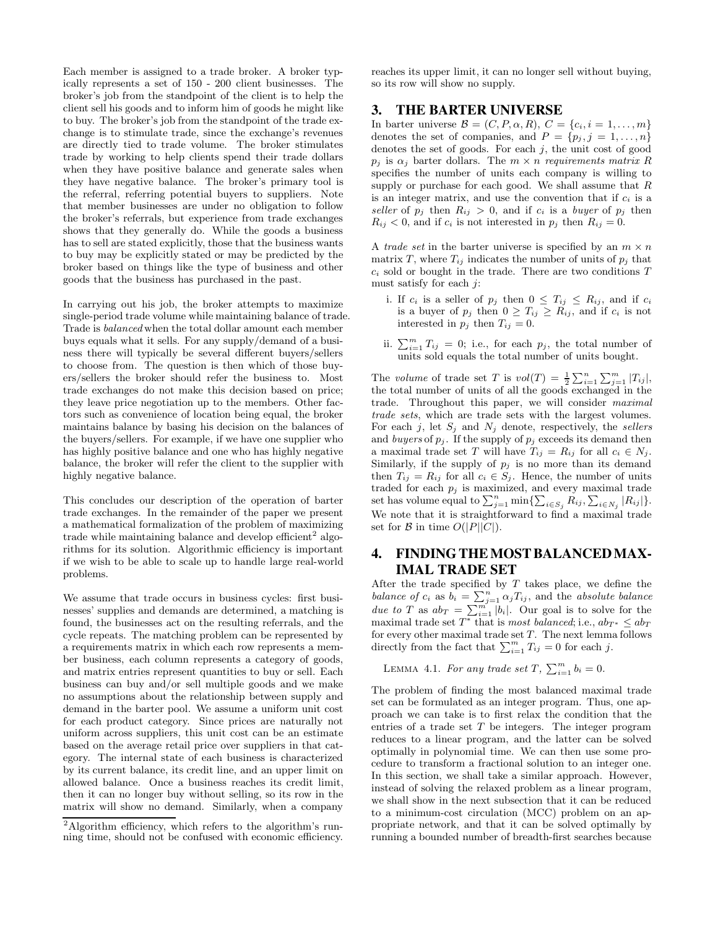Each member is assigned to a trade broker. A broker typically represents a set of 150 - 200 client businesses. The broker's job from the standpoint of the client is to help the client sell his goods and to inform him of goods he might like to buy. The broker's job from the standpoint of the trade exchange is to stimulate trade, since the exchange's revenues are directly tied to trade volume. The broker stimulates trade by working to help clients spend their trade dollars when they have positive balance and generate sales when they have negative balance. The broker's primary tool is the referral, referring potential buyers to suppliers. Note that member businesses are under no obligation to follow the broker's referrals, but experience from trade exchanges shows that they generally do. While the goods a business has to sell are stated explicitly, those that the business wants to buy may be explicitly stated or may be predicted by the broker based on things like the type of business and other goods that the business has purchased in the past.

In carrying out his job, the broker attempts to maximize single-period trade volume while maintaining balance of trade. Trade is balanced when the total dollar amount each member buys equals what it sells. For any supply/demand of a business there will typically be several different buyers/sellers to choose from. The question is then which of those buyers/sellers the broker should refer the business to. Most trade exchanges do not make this decision based on price; they leave price negotiation up to the members. Other factors such as convenience of location being equal, the broker maintains balance by basing his decision on the balances of the buyers/sellers. For example, if we have one supplier who has highly positive balance and one who has highly negative balance, the broker will refer the client to the supplier with highly negative balance.

This concludes our description of the operation of barter trade exchanges. In the remainder of the paper we present a mathematical formalization of the problem of maximizing trade while maintaining balance and develop efficient<sup>2</sup> algorithms for its solution. Algorithmic efficiency is important if we wish to be able to scale up to handle large real-world problems.

We assume that trade occurs in business cycles: first businesses' supplies and demands are determined, a matching is found, the businesses act on the resulting referrals, and the cycle repeats. The matching problem can be represented by a requirements matrix in which each row represents a member business, each column represents a category of goods, and matrix entries represent quantities to buy or sell. Each business can buy and/or sell multiple goods and we make no assumptions about the relationship between supply and demand in the barter pool. We assume a uniform unit cost for each product category. Since prices are naturally not uniform across suppliers, this unit cost can be an estimate based on the average retail price over suppliers in that category. The internal state of each business is characterized by its current balance, its credit line, and an upper limit on allowed balance. Once a business reaches its credit limit, then it can no longer buy without selling, so its row in the matrix will show no demand. Similarly, when a company

reaches its upper limit, it can no longer sell without buying, so its row will show no supply.

## **3. THE BARTER UNIVERSE**

In barter universe  $\mathcal{B} = (C, P, \alpha, R), C = \{c_i, i = 1, \ldots, m\}$ denotes the set of companies, and  $P = \{p_j, j = 1, \ldots, n\}$ denotes the set of goods. For each  $j$ , the unit cost of good  $p_j$  is  $\alpha_j$  barter dollars. The  $m \times n$  requirements matrix R specifies the number of units each company is willing to supply or purchase for each good. We shall assume that  $R$ is an integer matrix, and use the convention that if  $c_i$  is a seller of  $p_j$  then  $R_{ij} > 0$ , and if  $c_i$  is a buyer of  $p_j$  then  $R_{ij} < 0$ , and if  $c_i$  is not interested in  $p_j$  then  $R_{ij} = 0$ .

A trade set in the barter universe is specified by an  $m \times n$ matrix T, where  $T_{ij}$  indicates the number of units of  $p_i$  that  $c_i$  sold or bought in the trade. There are two conditions  $T$ must satisfy for each  $j$ :

- i. If  $c_i$  is a seller of  $p_j$  then  $0 \leq T_{ij} \leq R_{ij}$ , and if  $c_i$ is a buyer of  $p_j$  then  $0 \geq T_{ij} \geq R_{ij}$ , and if  $c_i$  is not interested in  $p_i$  then  $T_{ij} = 0$ .
- ii.  $\sum_{i=1}^{m} T_{ij} = 0$ ; i.e., for each  $p_j$ , the total number of units sold equals the total number of units bought.

The volume of trade set T is  $vol(T) = \frac{1}{2} \sum_{i=1}^{n} \sum_{j=1}^{m} |T_{ij}|$ , the total number of units of all the goods exchanged in the trade. Throughout this paper, we will consider maximal trade sets, which are trade sets with the largest volumes. For each j, let  $S_j$  and  $N_j$  denote, respectively, the sellers and buyers of  $p_j$ . If the supply of  $p_j$  exceeds its demand then a maximal trade set T will have  $T_{ij} = R_{ij}$  for all  $c_i \in N_j$ . Similarly, if the supply of  $p_j$  is no more than its demand then  $T_{ij} = R_{ij}$  for all  $c_i \in S_j$ . Hence, the number of units traded for each  $p_j$  is maximized, and every maximal trade set has volume equal to  $\sum_{j=1}^{n} \min \{ \sum_{i \in S_j} R_{ij}, \sum_{i \in N_j} |R_{ij}| \}.$ We note that it is straightforward to find a maximal trade set for  $\mathcal{B}$  in time  $O(|P||C|)$ .

# **4. FINDING THE MOST BALANCED MAX-IMAL TRADE SET**

After the trade specified by  $T$  takes place, we define the balance of  $c_i$  as  $b_i = \sum_{j=1}^n \alpha_j T_{ij}$ , and the absolute balance due to T as  $ab_T = \sum_{i=1}^{m'} |b_i|$ . Our goal is to solve for the maximal trade set  $T^*$  that is most balanced; i.e.,  $ab_{T^*} \leq ab_T$ for every other maximal trade set  $T$ . The next lemma follows directly from the fact that  $\sum_{i=1}^{m} T_{ij} = 0$  for each j.

LEMMA 4.1. For any trade set T,  $\sum_{i=1}^{m} b_i = 0$ .

The problem of finding the most balanced maximal trade set can be formulated as an integer program. Thus, one approach we can take is to first relax the condition that the entries of a trade set  $T$  be integers. The integer program reduces to a linear program, and the latter can be solved optimally in polynomial time. We can then use some procedure to transform a fractional solution to an integer one. In this section, we shall take a similar approach. However, instead of solving the relaxed problem as a linear program, we shall show in the next subsection that it can be reduced to a minimum-cost circulation (MCC) problem on an appropriate network, and that it can be solved optimally by running a bounded number of breadth-first searches because

<sup>2</sup>Algorithm efficiency, which refers to the algorithm's running time, should not be confused with economic efficiency.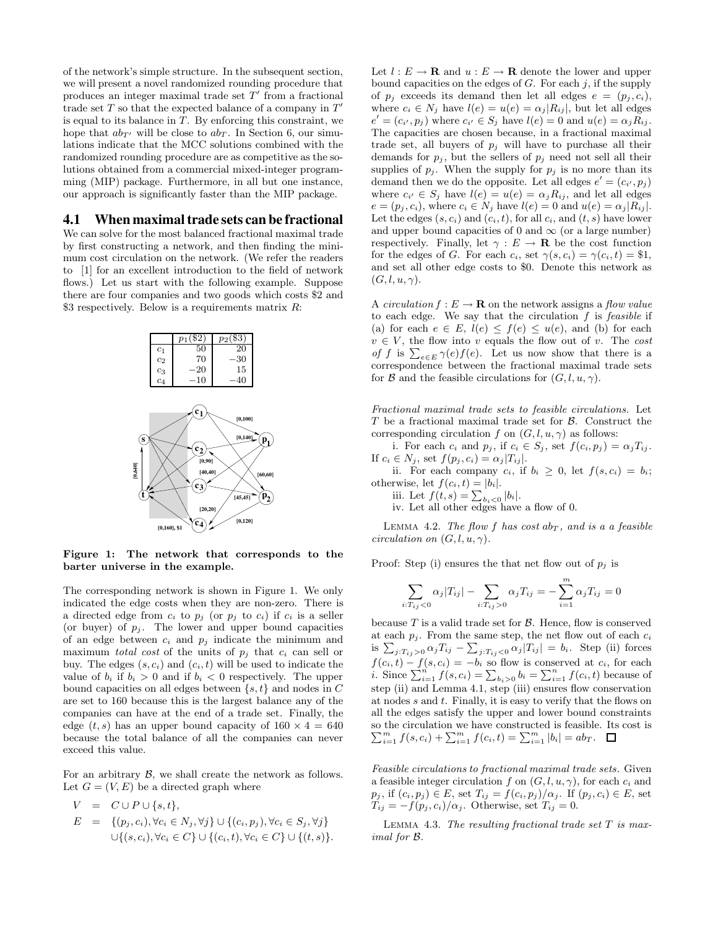of the network's simple structure. In the subsequent section, we will present a novel randomized rounding procedure that produces an integer maximal trade set  $T'$  from a fractional trade set  $T$  so that the expected balance of a company in  $T'$ is equal to its balance in  $T$ . By enforcing this constraint, we hope that  $ab_{T'}$  will be close to  $ab_T$ . In Section 6, our simulations indicate that the MCC solutions combined with the randomized rounding procedure are as competitive as the solutions obtained from a commercial mixed-integer programming (MIP) package. Furthermore, in all but one instance, our approach is significantly faster than the MIP package.

## **4.1 When maximal trade sets can be fractional**

We can solve for the most balanced fractional maximal trade by first constructing a network, and then finding the minimum cost circulation on the network. (We refer the readers to [1] for an excellent introduction to the field of network flows.) Let us start with the following example. Suppose there are four companies and two goods which costs \$2 and  $$3$  respectively. Below is a requirements matrix  $R$ :



**Figure 1: The network that corresponds to the barter universe in the example.**

The corresponding network is shown in Figure 1. We only indicated the edge costs when they are non-zero. There is a directed edge from  $c_i$  to  $p_j$  (or  $p_j$  to  $c_i$ ) if  $c_i$  is a seller (or buyer) of  $p_i$ . The lower and upper bound capacities of an edge between  $c_i$  and  $p_j$  indicate the minimum and maximum total cost of the units of  $p_i$  that  $c_i$  can sell or buy. The edges  $(s, c_i)$  and  $(c_i, t)$  will be used to indicate the value of  $b_i$  if  $b_i > 0$  and if  $b_i < 0$  respectively. The upper bound capacities on all edges between  $\{s, t\}$  and nodes in C are set to 160 because this is the largest balance any of the companies can have at the end of a trade set. Finally, the edge  $(t, s)$  has an upper bound capacity of  $160 \times 4 = 640$ because the total balance of all the companies can never exceed this value.

For an arbitrary B, we shall create the network as follows. Let  $G = (V, E)$  be a directed graph where

$$
V = C \cup P \cup \{s, t\},
$$
  
\n
$$
E = \{(p_j, c_i), \forall c_i \in N_j, \forall j\} \cup \{(c_i, p_j), \forall c_i \in S_j, \forall j\}
$$
  
\n
$$
\cup \{(s, c_i), \forall c_i \in C\} \cup \{(c_i, t), \forall c_i \in C\} \cup \{(t, s)\}.
$$

Let  $l : E \to \mathbf{R}$  and  $u : E \to \mathbf{R}$  denote the lower and upper bound capacities on the edges of  $G$ . For each  $j$ , if the supply of  $p_i$  exceeds its demand then let all edges  $e = (p_i, c_i)$ , where  $c_i \in N_j$  have  $l(e) = u(e) = \alpha_j |R_{ij}|$ , but let all edges  $e' = (c_{i'}, p_j)$  where  $c_{i'} \in S_j$  have  $l(e) = 0$  and  $u(e) = \alpha_j R_{ij}$ . The capacities are chosen because, in a fractional maximal trade set, all buyers of  $p_j$  will have to purchase all their demands for  $p_j$ , but the sellers of  $p_j$  need not sell all their supplies of  $p_i$ . When the supply for  $p_i$  is no more than its demand then we do the opposite. Let all edges  $e' = (c_{i'}, p_j)$ where  $c_{i'} \in S_j$  have  $l(e) = u(e) = \alpha_j R_{ij}$ , and let all edges  $e = (p_j, c_i)$ , where  $c_i \in N_j$  have  $l(e) = 0$  and  $u(e) = \alpha_j |R_{ij}|$ . Let the edges  $(s, c_i)$  and  $(c_i, t)$ , for all  $c_i$ , and  $(t, s)$  have lower and upper bound capacities of 0 and  $\infty$  (or a large number) respectively. Finally, let  $\gamma : E \to \mathbf{R}$  be the cost function for the edges of G. For each  $c_i$ , set  $\gamma(s, c_i) = \gamma(c_i, t) = \$1$ , and set all other edge costs to \$0. Denote this network as  $(G, l, u, \gamma).$ 

A *circulation*  $f : E \to \mathbf{R}$  on the network assigns a *flow value* to each edge. We say that the circulation  $f$  is  $feasible$  if (a) for each  $e \in E$ ,  $l(e) \leq f(e) \leq u(e)$ , and (b) for each  $v \in V$ , the flow into v equals the flow out of v. The cost of f is  $\sum_{e \in E} \gamma(e) f(e)$ . Let us now show that there is a correspondence between the fractional maximal trade sets for B and the feasible circulations for  $(G, l, u, \gamma)$ .

Fractional maximal trade sets to feasible circulations. Let T be a fractional maximal trade set for B. Construct the corresponding circulation f on  $(G, l, u, \gamma)$  as follows:

i. For each  $c_i$  and  $p_j$ , if  $c_i \in S_j$ , set  $f(c_i, p_j) = \alpha_j T_{ij}$ . If  $c_i \in N_j$ , set  $f(p_j, c_i) = \alpha_j |T_{ij}|$ .

ii. For each company  $c_i$ , if  $b_i \geq 0$ , let  $f(s, c_i) = b_i$ ; otherwise, let  $f(c_i, t) = |b_i|$ .

iii. Let  $f(t, s) = \sum_{b_i < 0} |b_i|$ .

iv. Let all other edges have a flow of 0.

LEMMA 4.2. The flow f has cost  $ab<sub>T</sub>$ , and is a a feasible circulation on  $(G, l, u, \gamma)$ .

Proof: Step (i) ensures the that net flow out of  $p_j$  is

$$
\sum_{i:T_{ij} < 0} \alpha_j |T_{ij}| - \sum_{i:T_{ij} > 0} \alpha_j T_{ij} = -\sum_{i=1}^m \alpha_j T_{ij} = 0
$$

because  $T$  is a valid trade set for  $\mathcal B$ . Hence, flow is conserved at each  $p_j$ . From the same step, the net flow out of each  $c_i$ is  $\sum_{j:T_{ij}>0} \alpha_j T_{ij} - \sum_{j:T_{ij}<0} \alpha_j |T_{ij}| = b_i$ . Step (ii) forces  $f(c_i, t) - f(s, c_i) = -b_i$  so flow is conserved at  $c_i$ , for each *i*. Since  $\sum_{i=1}^{n} f(s, c_i) = \sum_{b_i > 0} b_i = \sum_{i=1}^{n} f(c_i, t)$  because of step (ii) and Lemma 4.1, step (iii) ensures flow conservation at nodes  $s$  and  $t$ . Finally, it is easy to verify that the flows on all the edges satisfy the upper and lower bound constraints so the circulation we have constructed is feasible. Its cost is  $\sum_{i=1}^{m} f(s, c_i) + \sum_{i=1}^{m} f(c_i, t) = \sum_{i=1}^{m} |b_i| = ab_T.$ 

Feasible circulations to fractional maximal trade sets. Given a feasible integer circulation f on  $(G, l, u, \gamma)$ , for each  $c_i$  and  $p_j$ , if  $(c_i, p_j) \in E$ , set  $T_{ij} = f(c_i, p_j)/\alpha_j$ . If  $(p_j, c_i) \in E$ , set  $T_{ij} = -f(p_j, c_i)/\alpha_j$ . Otherwise, set  $T_{ij} = 0$ .

LEMMA 4.3. The resulting fractional trade set  $T$  is maximal for B.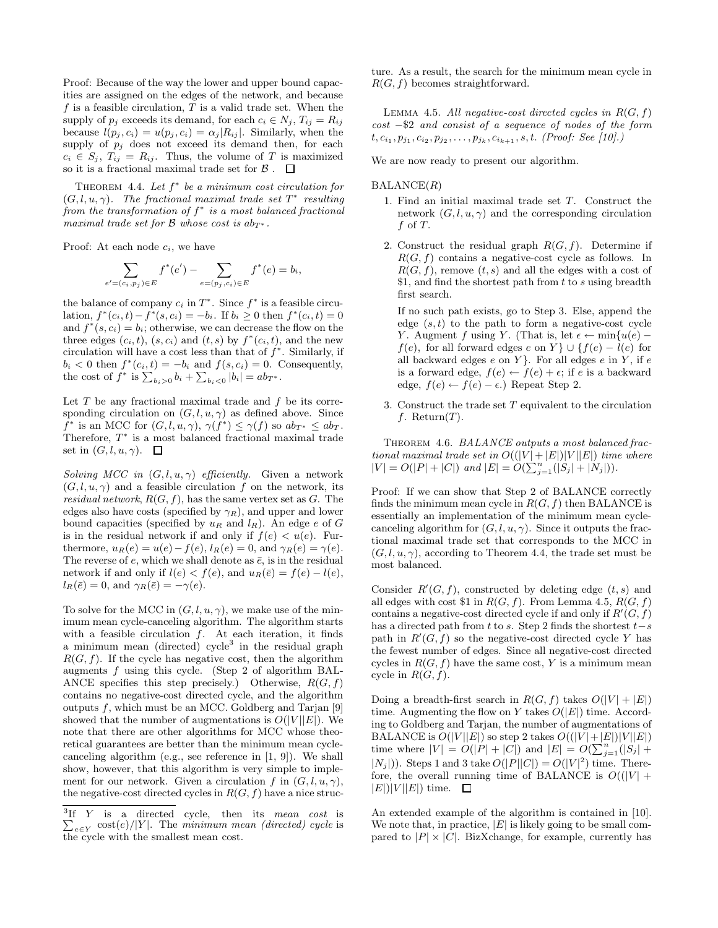Proof: Because of the way the lower and upper bound capacities are assigned on the edges of the network, and because  $f$  is a feasible circulation,  $T$  is a valid trade set. When the supply of  $p_i$  exceeds its demand, for each  $c_i \in N_j$ ,  $T_{ij} = R_{ij}$ because  $l(p_j, c_i) = u(p_j, c_i) = \alpha_j |R_{ij}|$ . Similarly, when the supply of  $p_i$  does not exceed its demand then, for each  $c_i \in S_j$ ,  $T_{ij} = R_{ij}$ . Thus, the volume of T is maximized so it is a fractional maximal trade set for  $\beta$ .  $\Box$ 

THEOREM 4.4. Let  $f^*$  be a minimum cost circulation for  $(G, l, u, \gamma)$ . The fractional maximal trade set  $T^*$  resulting from the transformation of  $f^*$  is a most balanced fractional maximal trade set for  $\beta$  whose cost is ab $T^*$ .

Proof: At each node  $c_i$ , we have

$$
\sum_{e'=(c_i,p_j)\in E} f^*(e') - \sum_{e=(p_j,c_i)\in E} f^*(e) = b_i,
$$

the balance of company  $c_i$  in  $T^*$ . Since  $f^*$  is a feasible circulation,  $f^*(c_i, t) - f^*(s, c_i) = -b_i$ . If  $b_i \geq 0$  then  $f^*(c_i, t) = 0$ and  $f^*(s, c_i) = b_i$ ; otherwise, we can decrease the flow on the three edges  $(c_i, t)$ ,  $(s, c_i)$  and  $(t, s)$  by  $f^*(c_i, t)$ , and the new circulation will have a cost less than that of  $f^*$ . Similarly, if  $b_i < 0$  then  $f^*(c_i, t) = -b_i$  and  $f(s, c_i) = 0$ . Consequently, the cost of  $f^*$  is  $\sum_{b_i>0} b_i + \sum_{b_i<0} |b_i| = ab_{T^*}.$ 

Let  $T$  be any fractional maximal trade and  $f$  be its corresponding circulation on  $(G, l, u, \gamma)$  as defined above. Since  $f^*$  is an MCC for  $(G, l, u, \gamma), \gamma(f^*) \leq \gamma(f)$  so  $ab_{T^*} \leq ab_T$ . Therefore,  $T^*$  is a most balanced fractional maximal trade set in  $(G, l, u, \gamma)$ .  $\Box$ 

Solving MCC in  $(G, l, u, \gamma)$  efficiently. Given a network  $(G, l, u, \gamma)$  and a feasible circulation f on the network, its residual network,  $R(G, f)$ , has the same vertex set as G. The edges also have costs (specified by  $\gamma_R$ ), and upper and lower bound capacities (specified by  $u_R$  and  $l_R$ ). An edge e of G is in the residual network if and only if  $f(e) < u(e)$ . Furthermore,  $u_R(e) = u(e) - f(e)$ ,  $l_R(e) = 0$ , and  $\gamma_R(e) = \gamma(e)$ . The reverse of  $e$ , which we shall denote as  $\bar{e}$ , is in the residual network if and only if  $l(e) < f(e)$ , and  $u_R(\bar{e}) = f(e) - l(e)$ ,  $l_R(\bar{e}) = 0$ , and  $\gamma_R(\bar{e}) = -\gamma(e)$ .

To solve for the MCC in  $(G, l, u, \gamma)$ , we make use of the minimum mean cycle-canceling algorithm. The algorithm starts with a feasible circulation  $f$ . At each iteration, it finds a minimum mean (directed) cycle<sup>3</sup> in the residual graph  $R(G, f)$ . If the cycle has negative cost, then the algorithm augments f using this cycle. (Step 2 of algorithm BAL-ANCE specifies this step precisely.) Otherwise,  $R(G, f)$ contains no negative-cost directed cycle, and the algorithm outputs  $f$ , which must be an MCC. Goldberg and Tarjan [9] showed that the number of augmentations is  $O(|V||E|)$ . We note that there are other algorithms for MCC whose theoretical guarantees are better than the minimum mean cyclecanceling algorithm (e.g., see reference in [1, 9]). We shall show, however, that this algorithm is very simple to implement for our network. Given a circulation f in  $(G, l, u, \gamma)$ , the negative-cost directed cycles in  $R(G, f)$  have a nice structure. As a result, the search for the minimum mean cycle in  $R(G, f)$  becomes straightforward.

LEMMA 4.5. All negative-cost directed cycles in  $R(G, f)$ cost −\$2 and consist of a sequence of nodes of the form  $t, c_{i_1}, p_{j_1}, c_{i_2}, p_{j_2}, \ldots, p_{j_k}, c_{i_{k+1}}, s, t.$  (Proof: See [10].)

We are now ready to present our algorithm.

 $BALANCE(R)$ 

- 1. Find an initial maximal trade set T. Construct the network  $(G, l, u, \gamma)$  and the corresponding circulation f of  $T$ .
- 2. Construct the residual graph  $R(G, f)$ . Determine if  $R(G, f)$  contains a negative-cost cycle as follows. In  $R(G, f)$ , remove  $(t, s)$  and all the edges with a cost of \$1, and find the shortest path from  $t$  to  $s$  using breadth first search.

If no such path exists, go to Step 3. Else, append the edge  $(s, t)$  to the path to form a negative-cost cycle Y. Augment f using Y. (That is, let  $\epsilon \leftarrow \min\{u(e)$  $f(e)$ , for all forward edges e on Y }  $\cup$  { $f(e) - l(e)$  for all backward edges  $e$  on  $Y$ }. For all edges  $e$  in  $Y$ , if  $e$ is a forward edge,  $f(e) \leftarrow f(e) + \epsilon$ ; if e is a backward edge,  $f(e) \leftarrow f(e) - \epsilon$ .) Repeat Step 2.

3. Construct the trade set  $T$  equivalent to the circulation  $f.$  Return $(T).$ 

THEOREM 4.6. BALANCE outputs a most balanced fractional maximal trade set in  $O((|V| + |E|)|V||E|)$  time where  $|V| = O(|P| + |C|)$  and  $|E| = O(\sum_{j=1}^{n}(|S_j| + |N_j|)).$ 

Proof: If we can show that Step 2 of BALANCE correctly finds the minimum mean cycle in  $R(G, f)$  then BALANCE is essentially an implementation of the minimum mean cyclecanceling algorithm for  $(G, l, u, \gamma)$ . Since it outputs the fractional maximal trade set that corresponds to the MCC in  $(G, l, u, \gamma)$ , according to Theorem 4.4, the trade set must be most balanced.

Consider  $R'(G, f)$ , constructed by deleting edge  $(t, s)$  and all edges with cost \$1 in  $R(G, f)$ . From Lemma 4.5,  $R(G, f)$ contains a negative-cost directed cycle if and only if  $R'(G, f)$ has a directed path from t to s. Step 2 finds the shortest  $t-s$ path in  $R'(G, f)$  so the negative-cost directed cycle Y has the fewest number of edges. Since all negative-cost directed cycles in  $R(G, f)$  have the same cost, Y is a minimum mean cycle in  $R(G, f)$ .

Doing a breadth-first search in  $R(G, f)$  takes  $O(|V| + |E|)$ time. Augmenting the flow on Y takes  $O(|E|)$  time. According to Goldberg and Tarjan, the number of augmentations of BALANCE is  $O(|V||E|)$  so step 2 takes  $O(|V|+|E|)|V||E|)$ time where  $|V| = O(|P| + |C|)$  and  $|E| = O(\sum_{j=1}^{n}(|S_j| +$  $|N_j|$ ). Steps 1 and 3 take  $O(|P||C|) = O(|V|^2)$  time. Therefore, the overall running time of BALANCE is  $O(|V| +$  $|E|$ ||V||E|) time.  $\Box$ 

An extended example of the algorithm is contained in [10]. We note that, in practice,  $|E|$  is likely going to be small compared to  $|P| \times |C|$ . BizXchange, for example, currently has

<sup>3</sup> Σ If Y is a directed cycle, then its mean cost is  $e \in Y$  cost $(e)/|Y|$ . The minimum mean (directed) cycle is the cycle with the smallest mean cost.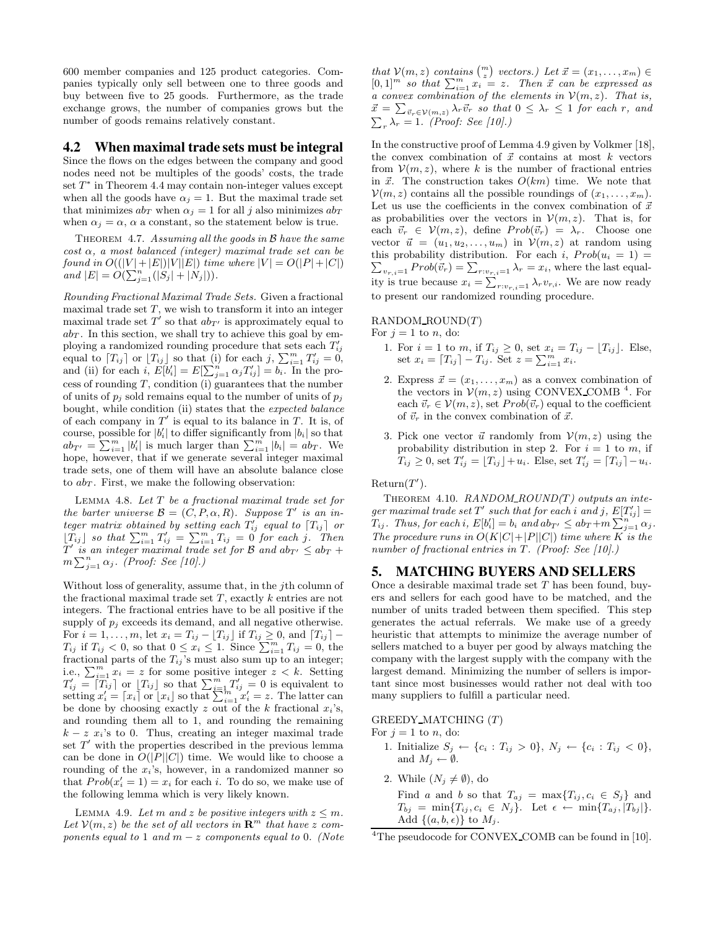600 member companies and 125 product categories. Companies typically only sell between one to three goods and buy between five to 25 goods. Furthermore, as the trade exchange grows, the number of companies grows but the number of goods remains relatively constant.

#### **4.2 When maximal trade sets must be integral**

Since the flows on the edges between the company and good nodes need not be multiples of the goods' costs, the trade set  $T^*$  in Theorem 4.4 may contain non-integer values except when all the goods have  $\alpha_j = 1$ . But the maximal trade set that minimizes  $ab_T$  when  $\alpha_j = 1$  for all j also minimizes  $ab_T$ when  $\alpha_i = \alpha$ ,  $\alpha$  a constant, so the statement below is true.

THEOREM 4.7. Assuming all the goods in  $\beta$  have the same cost  $\alpha$ , a most balanced (integer) maximal trade set can be found in  $O((|V| + |E|)|V||E|)$  time where  $|V| = O(|P| + |C|)$ and  $|E| = O(\sum_{j=1}^n (|S_j| + |N_j|)).$ 

Rounding Fractional Maximal Trade Sets. Given a fractional maximal trade set  $T$ , we wish to transform it into an integer maximal trade set  $T'$  so that  $ab_{T'}$  is approximately equal to  $ab_T$ . In this section, we shall try to achieve this goal by employing a randomized rounding procedure that sets each  $T'_{ij}$  equal to  $[T_{ij}]$  or  $[T_{ij}]$  so that (i) for each  $j$ ,  $\sum_{i=1}^{m} T'_{ij} = 0$ , and (ii) for each i,  $E[b'_i] = E[\sum_{j=1}^n \alpha_j T'_{ij}] = b_i$ . In the process of rounding  $T$ , condition (i) guarantees that the number of units of  $p_i$  sold remains equal to the number of units of  $p_i$ bought, while condition (ii) states that the expected balance of each company in  $T'$  is equal to its balance in  $T$ . It is, of course, possible for  $|b'_i|$  to differ significantly from  $|b_i|$  so that  $ab_{T'} = \sum_{i=1}^{m} |b'_i|$  is much larger than  $\sum_{i=1}^{m} |b_i| = ab_T$ . We hope, however, that if we generate several integer maximal trade sets, one of them will have an absolute balance close to  $ab_T$ . First, we make the following observation:

LEMMA 4.8. Let  $T$  be a fractional maximal trade set for the barter universe  $\mathcal{B} = (C, P, \alpha, R)$ . Suppose T' is an integer matrix obtained by setting each  $T_{ij}'$  equal to  $\lceil T_{ij} \rceil$  or  $[T_{ij}]$  so that  $\sum_{i=1}^{m} T'_{ij} = \sum_{i=1}^{m} T_{ij} = 0$  for each j. Then  $T'$  is an integer maximal trade set for  $\mathcal B$  and  $ab_{T'}\leq ab_{T}+1$  $m\sum_{j=1}^{n} \alpha_j$ . (Proof: See [10].)

Without loss of generality, assume that, in the jth column of the fractional maximal trade set  $T$ , exactly  $k$  entries are not integers. The fractional entries have to be all positive if the supply of  $p_j$  exceeds its demand, and all negative otherwise. For  $i = 1, \ldots, m$ , let  $x_i = T_{ij} - \lfloor T_{ij} \rfloor$  if  $T_{ij} \geq 0$ , and  $\lfloor T_{ij} \rfloor$  - $T_{ij}$  if  $T_{ij} < 0$ , so that  $0 \le x_i \le 1$ . Since  $\sum_{i=1}^{m} T_{ij} = 0$ , the fractional parts of the  $T_{ij}$ 's must also sum up to an integer; i.e.,  $\sum_{i=1}^{m} x_i = z$  for some positive integer  $z < k$ . Setting  $T'_{ij} = \begin{bmatrix} \overline{T}_{ij} \end{bmatrix}$  or  $\lfloor T_{ij} \rfloor$  so that  $\sum_{i=1}^{m} T'_{ij} = 0$  is equivalent to setting  $x'_i = \lceil x_i \rceil$  or  $\lfloor x_i \rfloor$  so that  $\sum_{i=1}^{m} x'_i = z$ . The latter can be done by choosing exactly z out of the k fractional  $x_i$ 's, and rounding them all to 1, and rounding the remaining  $k - z$  x<sub>i</sub>'s to 0. Thus, creating an integer maximal trade set  $T'$  with the properties described in the previous lemma can be done in  $O(|P||C|)$  time. We would like to choose a rounding of the  $x_i$ 's, however, in a randomized manner so that  $Prob(x'_{i} = 1) = x_{i}$  for each *i*. To do so, we make use of the following lemma which is very likely known.

LEMMA 4.9. Let m and z be positive integers with  $z \leq m$ . Let  $V(m, z)$  be the set of all vectors in  $\mathbb{R}^m$  that have z components equal to 1 and  $m - z$  components equal to 0. (Note

that  $V(m, z)$  contains  $\binom{m}{z}$  vectors.) Let  $\vec{x} = (x_1, \ldots, x_m) \in$  $[0,1]^m$  so that  $\sum_{i=1}^m x_i = z$ . Then  $\vec{x}$  can be expressed as a convex combination of the elements in  $\mathcal{V}(m, z)$ . That is,  $\vec{x} = \sum_{\vec{v}_r \in \mathcal{V}(m,z)} \lambda_r \vec{v}_r$  so that  $0 \leq \lambda_r \leq 1$  for each r, and  $\sum_{r} \lambda_r = 1.$  (Proof: See [10].)

In the constructive proof of Lemma 4.9 given by Volkmer [18], the convex combination of  $\vec{x}$  contains at most k vectors from  $V(m, z)$ , where k is the number of fractional entries in  $\vec{x}$ . The construction takes  $O(km)$  time. We note that  $V(m, z)$  contains all the possible roundings of  $(x_1, \ldots, x_m)$ . Let us use the coefficients in the convex combination of  $\vec{x}$ as probabilities over the vectors in  $\mathcal{V}(m, z)$ . That is, for each  $\vec{v}_r \in \mathcal{V}(m, z)$ , define  $Prob(\vec{v}_r) = \lambda_r$ . Choose one vector  $\vec{u} = (u_1, u_2, \dots, u_m)$  in  $\mathcal{V}(m, z)$  at random using this probability distribution. For each i,  $Prob(u_i = 1)$  $\sum_{v_{r,i}=1}$  *Prob* $(\vec{v}_r) = \sum_{r:v_{r,i}=1} \lambda_r = x_i$ , where the last equality is true because  $x_i = \sum_{r:v_{r,i}=1} \lambda_r v_{r,i}$ . We are now ready to present our randomized rounding procedure.

#### $\text{RANDOM\_ROUND}(T)$

For  $j = 1$  to n, do:

- 1. For  $i = 1$  to m, if  $T_{ij} \geq 0$ , set  $x_i = T_{ij} [T_{ij}]$ . Else, set  $x_i = [T_{ij}] - T_{ij}$ . Set  $z = \sum_{i=1}^{m} x_i$ .
- 2. Express  $\vec{x} = (x_1, \ldots, x_m)$  as a convex combination of the vectors in  $V(m, z)$  using CONVEX COMB<sup>4</sup>. For each  $\vec{v}_r \in \mathcal{V}(m, z)$ , set  $Prob(\vec{v}_r)$  equal to the coefficient of  $\vec{v}_r$  in the convex combination of  $\vec{x}$ .
- 3. Pick one vector  $\vec{u}$  randomly from  $\mathcal{V}(m, z)$  using the probability distribution in step 2. For  $i = 1$  to m, if  $T_{ij} \ge 0$ , set  $T'_{ij} = [T_{ij}] + u_i$ . Else, set  $T'_{ij} = [T_{ij}] - u_i$ .

 $Return(T')$ .

THEOREM 4.10.  $RANDOM_ROUND(T)$  outputs an inte- $\emph{ger maximal trade set $T'$ such that for each $i$ and $j$}, \emph{E}[T'_{ij}] =$  $T_{ij}$ . Thus, for each i,  $E[b'_i] = b_i$  and  $ab_{T'} \leq ab_T + m \sum_{j=1}^n \alpha_j$ . The procedure runs in  $O(K|C|+|P||C|)$  time where K is the number of fractional entries in T. (Proof: See [10].)

### **5. MATCHING BUYERS AND SELLERS**

Once a desirable maximal trade set  $T$  has been found, buyers and sellers for each good have to be matched, and the number of units traded between them specified. This step generates the actual referrals. We make use of a greedy heuristic that attempts to minimize the average number of sellers matched to a buyer per good by always matching the company with the largest supply with the company with the largest demand. Minimizing the number of sellers is important since most businesses would rather not deal with too many suppliers to fulfill a particular need.

GREEDY MATCHING (T)

For  $j = 1$  to n, do:

- 1. Initialize  $S_j \leftarrow \{c_i : T_{ij} > 0\}, N_j \leftarrow \{c_i : T_{ij} < 0\},$ and  $M_i \leftarrow \emptyset$ .
- 2. While  $(N_i \neq \emptyset)$ , do

Find a and b so that  $T_{aj} = \max\{T_{ij}, c_i \in S_j\}$  and  $T_{bj} = \min\{T_{ij}, c_i \in N_j\}.$  Let  $\epsilon \leftarrow \min\{T_{aj}, |T_{bj}|\}.$ Add  $\{(a, b, \epsilon)\}\)$  to  $M_j$ .

 ${}^{4}{\rm The}$  pseudocode for CONVEX COMB can be found in [10].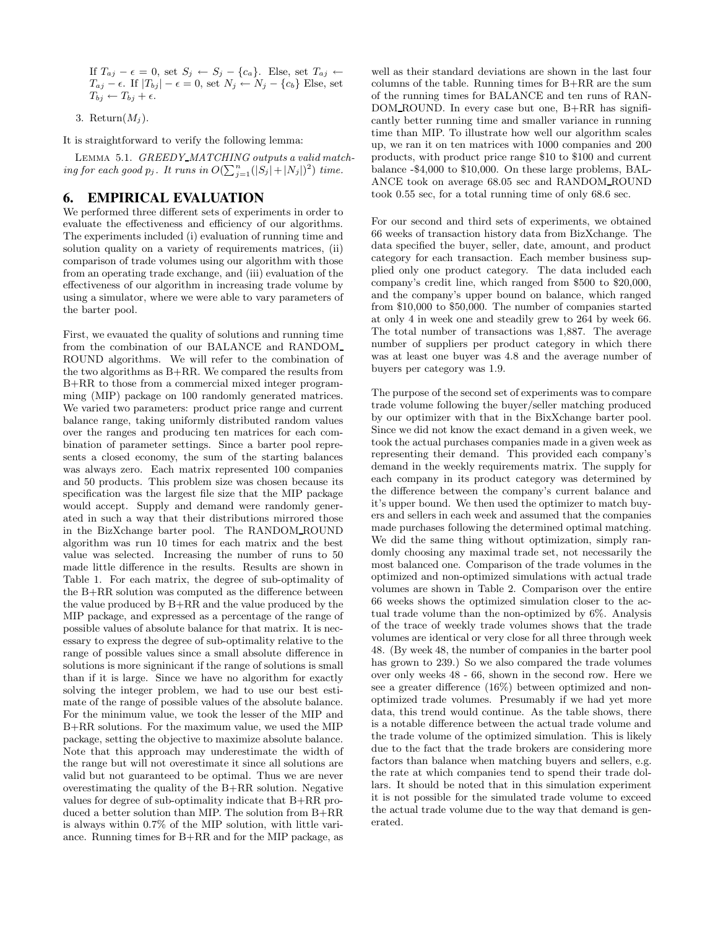If  $T_{aj} - \epsilon = 0$ , set  $S_j \leftarrow S_j - \{c_a\}$ . Else, set  $T_{aj}$  ←  $T_{aj} - \epsilon$ . If  $|T_{bj}| - \epsilon = 0$ , set  $N_j \leftarrow N_j - \{c_b\}$  Else, set  $T_{bj} \leftarrow T_{bj} + \epsilon.$ 

3. Return $(M_i)$ .

It is straightforward to verify the following lemma:

LEMMA 5.1. GREEDY\_MATCHING outputs a valid matching for each good  $p_j$ . It runs in  $O(\sum_{j=1}^n (|S_j|+|N_j|)^2)$  time.

## **6. EMPIRICAL EVALUATION**

We performed three different sets of experiments in order to evaluate the effectiveness and efficiency of our algorithms. The experiments included (i) evaluation of running time and solution quality on a variety of requirements matrices, (ii) comparison of trade volumes using our algorithm with those from an operating trade exchange, and (iii) evaluation of the effectiveness of our algorithm in increasing trade volume by using a simulator, where we were able to vary parameters of the barter pool.

First, we evauated the quality of solutions and running time from the combination of our BALANCE and RANDOM ROUND algorithms. We will refer to the combination of the two algorithms as B+RR. We compared the results from B+RR to those from a commercial mixed integer programming (MIP) package on 100 randomly generated matrices. We varied two parameters: product price range and current balance range, taking uniformly distributed random values over the ranges and producing ten matrices for each combination of parameter settings. Since a barter pool represents a closed economy, the sum of the starting balances was always zero. Each matrix represented 100 companies and 50 products. This problem size was chosen because its specification was the largest file size that the MIP package would accept. Supply and demand were randomly generated in such a way that their distributions mirrored those in the BizXchange barter pool. The RANDOM ROUND algorithm was run 10 times for each matrix and the best value was selected. Increasing the number of runs to 50 made little difference in the results. Results are shown in Table 1. For each matrix, the degree of sub-optimality of the B+RR solution was computed as the difference between the value produced by B+RR and the value produced by the MIP package, and expressed as a percentage of the range of possible values of absolute balance for that matrix. It is necessary to express the degree of sub-optimality relative to the range of possible values since a small absolute difference in solutions is more signinicant if the range of solutions is small than if it is large. Since we have no algorithm for exactly solving the integer problem, we had to use our best estimate of the range of possible values of the absolute balance. For the minimum value, we took the lesser of the MIP and B+RR solutions. For the maximum value, we used the MIP package, setting the objective to maximize absolute balance. Note that this approach may underestimate the width of the range but will not overestimate it since all solutions are valid but not guaranteed to be optimal. Thus we are never overestimating the quality of the B+RR solution. Negative values for degree of sub-optimality indicate that B+RR produced a better solution than MIP. The solution from B+RR is always within 0.7% of the MIP solution, with little variance. Running times for B+RR and for the MIP package, as well as their standard deviations are shown in the last four columns of the table. Running times for B+RR are the sum of the running times for BALANCE and ten runs of RAN-DOM ROUND. In every case but one, B+RR has significantly better running time and smaller variance in running time than MIP. To illustrate how well our algorithm scales up, we ran it on ten matrices with 1000 companies and 200 products, with product price range \$10 to \$100 and current balance -\$4,000 to \$10,000. On these large problems, BAL-ANCE took on average 68.05 sec and RANDOM ROUND took 0.55 sec, for a total running time of only 68.6 sec.

For our second and third sets of experiments, we obtained 66 weeks of transaction history data from BizXchange. The data specified the buyer, seller, date, amount, and product category for each transaction. Each member business supplied only one product category. The data included each company's credit line, which ranged from \$500 to \$20,000, and the company's upper bound on balance, which ranged from \$10,000 to \$50,000. The number of companies started at only 4 in week one and steadily grew to 264 by week 66. The total number of transactions was 1,887. The average number of suppliers per product category in which there was at least one buyer was 4.8 and the average number of buyers per category was 1.9.

The purpose of the second set of experiments was to compare trade volume following the buyer/seller matching produced by our optimizer with that in the BixXchange barter pool. Since we did not know the exact demand in a given week, we took the actual purchases companies made in a given week as representing their demand. This provided each company's demand in the weekly requirements matrix. The supply for each company in its product category was determined by the difference between the company's current balance and it's upper bound. We then used the optimizer to match buyers and sellers in each week and assumed that the companies made purchases following the determined optimal matching. We did the same thing without optimization, simply randomly choosing any maximal trade set, not necessarily the most balanced one. Comparison of the trade volumes in the optimized and non-optimized simulations with actual trade volumes are shown in Table 2. Comparison over the entire 66 weeks shows the optimized simulation closer to the actual trade volume than the non-optimized by 6%. Analysis of the trace of weekly trade volumes shows that the trade volumes are identical or very close for all three through week 48. (By week 48, the number of companies in the barter pool has grown to 239.) So we also compared the trade volumes over only weeks 48 - 66, shown in the second row. Here we see a greater difference (16%) between optimized and nonoptimized trade volumes. Presumably if we had yet more data, this trend would continue. As the table shows, there is a notable difference between the actual trade volume and the trade volume of the optimized simulation. This is likely due to the fact that the trade brokers are considering more factors than balance when matching buyers and sellers, e.g. the rate at which companies tend to spend their trade dollars. It should be noted that in this simulation experiment it is not possible for the simulated trade volume to exceed the actual trade volume due to the way that demand is generated.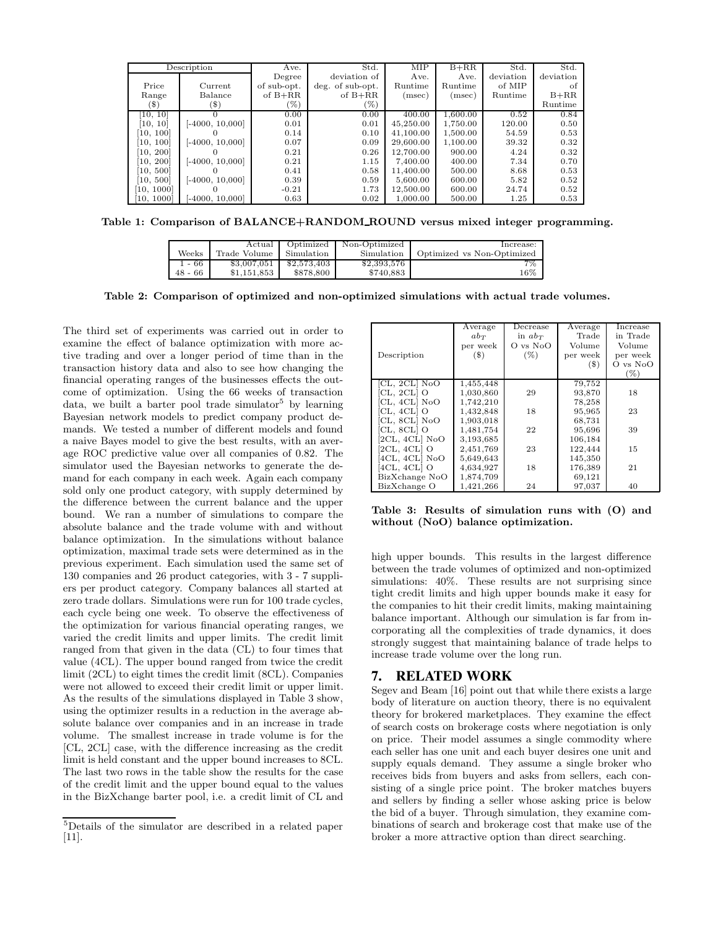| Description |                   | Ave.        | Std.             | MIP       | $B+RR$   | Std.      | Std.      |
|-------------|-------------------|-------------|------------------|-----------|----------|-----------|-----------|
|             |                   | Degree      | deviation of     | Ave.      | Ave.     | deviation | deviation |
| Price       | Current           | of sub-opt. | deg. of sub-opt. | Runtime   | Runtime  | of MIP    | of        |
| Range       | Balance           | of $B+RR$   | of $B+RR$        | (msec)    | (msec)   | Runtime   | $B+RR$    |
| (\$)        | (\$)              | '%)         | $(\%)$           |           |          |           | Runtime   |
| [10, 10]    |                   | 0.00        | 0.00             | 400.00    | 1.600.00 | 0.52      | 0.84      |
| [10, 10]    | $[-4000, 10,000]$ | 0.01        | 0.01             | 45,250.00 | 1.750.00 | 120.00    | 0.50      |
| [10, 100]   |                   | 0.14        | 0.10             | 41.100.00 | 1.500.00 | 54.59     | 0.53      |
| [10, 100]   | $[-4000, 10,000]$ | 0.07        | 0.09             | 29,600.00 | 1,100.00 | 39.32     | 0.32      |
| [10, 200]   |                   | 0.21        | 0.26             | 12,700.00 | 900.00   | 4.24      | 0.32      |
| [10, 200]   | $[-4000, 10,000]$ | 0.21        | 1.15             | 7.400.00  | 400.00   | 7.34      | 0.70      |
| [10, 500]   |                   | 0.41        | 0.58             | 11.400.00 | 500.00   | 8.68      | 0.53      |
| [10, 500]   | $[-4000, 10,000]$ | 0.39        | 0.59             | 5.600.00  | 600.00   | 5.82      | 0.52      |
| [10, 1000]  |                   | $-0.21$     | 1.73             | 12,500.00 | 600.00   | 24.74     | 0.52      |
| [10, 1000]  | $[-4000, 10,000]$ | 0.63        | 0.02             | 1,000.00  | 500.00   | 1.25      | 0.53      |

**Table 1: Comparison of BALANCE+RANDOM ROUND versus mixed integer programming.**

|           | Actual       | Optimized   | Non-Optimized | Increase:                  |
|-----------|--------------|-------------|---------------|----------------------------|
| Weeks     | Trade Volume | Simulation  | Simulation    | Optimized vs Non-Optimized |
| - 66      | \$3,007,051  | \$2,573,403 | \$2,393,576   | $7\%$                      |
| $48 - 66$ | \$1.151.853  | \$878,800   | \$740.883     | 16%                        |

**Table 2: Comparison of optimized and non-optimized simulations with actual trade volumes.**

The third set of experiments was carried out in order to examine the effect of balance optimization with more active trading and over a longer period of time than in the transaction history data and also to see how changing the financial operating ranges of the businesses effects the outcome of optimization. Using the 66 weeks of transaction data, we built a barter pool trade simulator<sup>5</sup> by learning Bayesian network models to predict company product demands. We tested a number of different models and found a naive Bayes model to give the best results, with an average ROC predictive value over all companies of 0.82. The simulator used the Bayesian networks to generate the demand for each company in each week. Again each company sold only one product category, with supply determined by the difference between the current balance and the upper bound. We ran a number of simulations to compare the absolute balance and the trade volume with and without balance optimization. In the simulations without balance optimization, maximal trade sets were determined as in the previous experiment. Each simulation used the same set of 130 companies and 26 product categories, with 3 - 7 suppliers per product category. Company balances all started at zero trade dollars. Simulations were run for 100 trade cycles, each cycle being one week. To observe the effectiveness of the optimization for various financial operating ranges, we varied the credit limits and upper limits. The credit limit ranged from that given in the data (CL) to four times that value (4CL). The upper bound ranged from twice the credit limit (2CL) to eight times the credit limit (8CL). Companies were not allowed to exceed their credit limit or upper limit. As the results of the simulations displayed in Table 3 show, using the optimizer results in a reduction in the average absolute balance over companies and in an increase in trade volume. The smallest increase in trade volume is for the [CL, 2CL] case, with the difference increasing as the credit limit is held constant and the upper bound increases to 8CL. The last two rows in the table show the results for the case of the credit limit and the upper bound equal to the values in the BizXchange barter pool, i.e. a credit limit of CL and

|                | Average            | Decrease     | Average  | Increase     |
|----------------|--------------------|--------------|----------|--------------|
|                | $ab_{\mathcal{T}}$ | in $ab_T$    | Trade    | in Trade     |
|                | per week           | $O$ vs $NoO$ | Volume   | Volume       |
| Description    | $(\$\)$            | $(\%)$       | per week | per week     |
|                |                    |              | $(\$\)$  | $O$ vs $NoO$ |
|                |                    |              |          | $(\% )$      |
| CL, 2CL] NoO   | 1,455,448          |              | 79,752   |              |
| [CL, 2CL] O    | 1,030,860          | 29           | 93,870   | 18           |
| CL, 4CL NoO    | 1,742,210          |              | 78,258   |              |
| CL, 4CL] O     | 1,432,848          | 18           | 95,965   | 23           |
| CL, 8CL] NoO   | 1,903,018          |              | 68,731   |              |
| CL, 8CL] O     | 1,481,754          | 22           | 95,696   | 39           |
| [2CL, 4CL] NoO | 3,193,685          |              | 106,184  |              |
| [2CL, 4CL] O   | 2,451,769          | 23           | 122,444  | 15           |
| 4CL, 4CL] NoO  | 5,649,643          |              | 145,350  |              |
| [4CL, 4CL] O   | 4,634,927          | 18           | 176,389  | 21           |
| BizXchange NoO | 1,874,709          |              | 69,121   |              |
| BizXchange O   | 1,421,266          | 24           | 97,037   | 40           |

**Table 3: Results of simulation runs with (O) and without (NoO) balance optimization.**

high upper bounds. This results in the largest difference between the trade volumes of optimized and non-optimized simulations: 40%. These results are not surprising since tight credit limits and high upper bounds make it easy for the companies to hit their credit limits, making maintaining balance important. Although our simulation is far from incorporating all the complexities of trade dynamics, it does strongly suggest that maintaining balance of trade helps to increase trade volume over the long run.

## **7. RELATED WORK**

Segev and Beam [16] point out that while there exists a large body of literature on auction theory, there is no equivalent theory for brokered marketplaces. They examine the effect of search costs on brokerage costs where negotiation is only on price. Their model assumes a single commodity where each seller has one unit and each buyer desires one unit and supply equals demand. They assume a single broker who receives bids from buyers and asks from sellers, each consisting of a single price point. The broker matches buyers and sellers by finding a seller whose asking price is below the bid of a buyer. Through simulation, they examine combinations of search and brokerage cost that make use of the broker a more attractive option than direct searching.

<sup>5</sup>Details of the simulator are described in a related paper [11].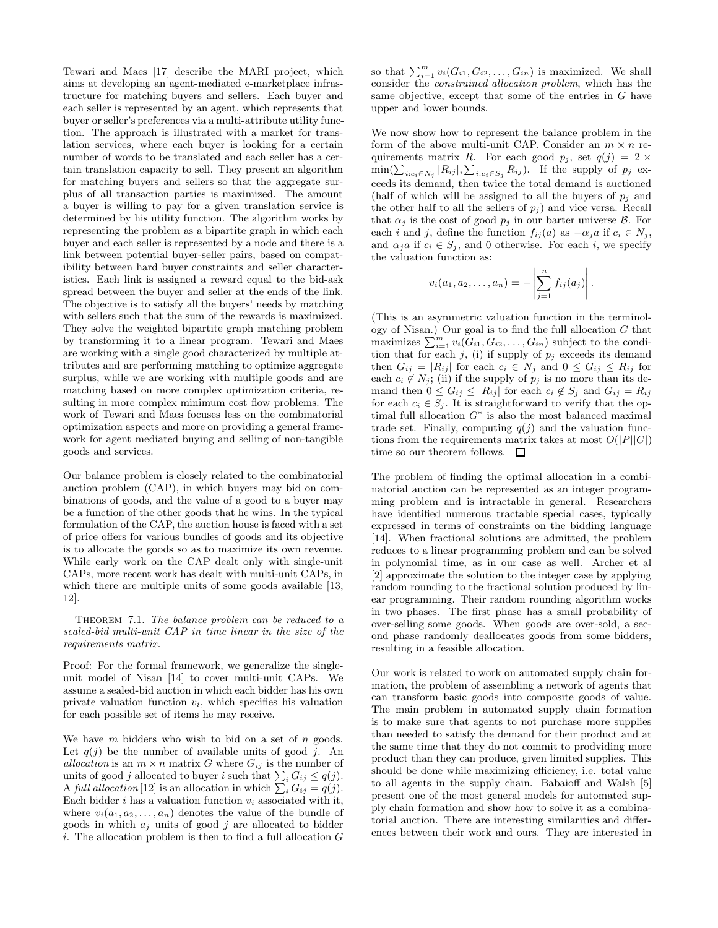Tewari and Maes [17] describe the MARI project, which aims at developing an agent-mediated e-marketplace infrastructure for matching buyers and sellers. Each buyer and each seller is represented by an agent, which represents that buyer or seller's preferences via a multi-attribute utility function. The approach is illustrated with a market for translation services, where each buyer is looking for a certain number of words to be translated and each seller has a certain translation capacity to sell. They present an algorithm for matching buyers and sellers so that the aggregate surplus of all transaction parties is maximized. The amount a buyer is willing to pay for a given translation service is determined by his utility function. The algorithm works by representing the problem as a bipartite graph in which each buyer and each seller is represented by a node and there is a link between potential buyer-seller pairs, based on compatibility between hard buyer constraints and seller characteristics. Each link is assigned a reward equal to the bid-ask spread between the buyer and seller at the ends of the link. The objective is to satisfy all the buyers' needs by matching with sellers such that the sum of the rewards is maximized. They solve the weighted bipartite graph matching problem by transforming it to a linear program. Tewari and Maes are working with a single good characterized by multiple attributes and are performing matching to optimize aggregate surplus, while we are working with multiple goods and are matching based on more complex optimization criteria, resulting in more complex minimum cost flow problems. The work of Tewari and Maes focuses less on the combinatorial optimization aspects and more on providing a general framework for agent mediated buying and selling of non-tangible goods and services.

Our balance problem is closely related to the combinatorial auction problem (CAP), in which buyers may bid on combinations of goods, and the value of a good to a buyer may be a function of the other goods that he wins. In the typical formulation of the CAP, the auction house is faced with a set of price offers for various bundles of goods and its objective is to allocate the goods so as to maximize its own revenue. While early work on the CAP dealt only with single-unit CAPs, more recent work has dealt with multi-unit CAPs, in which there are multiple units of some goods available [13, 12].

THEOREM 7.1. The balance problem can be reduced to a sealed-bid multi-unit CAP in time linear in the size of the requirements matrix.

Proof: For the formal framework, we generalize the singleunit model of Nisan [14] to cover multi-unit CAPs. We assume a sealed-bid auction in which each bidder has his own private valuation function  $v_i$ , which specifies his valuation for each possible set of items he may receive.

We have  $m$  bidders who wish to bid on a set of  $n$  goods. Let  $q(i)$  be the number of available units of good j. An allocation is an  $m \times n$  matrix G where  $G_{ij}$  is the number of units of good j allocated to buyer i such that  $\sum_i G_{ij} \leq q(j)$ . A full allocation [12] is an allocation in which  $\sum_i G_{ij} = q(j)$ . Each bidder i has a valuation function  $v_i$  associated with it, where  $v_i(a_1, a_2, \ldots, a_n)$  denotes the value of the bundle of goods in which  $a_j$  units of good j are allocated to bidder i. The allocation problem is then to find a full allocation  $G$ 

so that  $\sum_{i=1}^{m} v_i(G_{i1}, G_{i2},...,G_{in})$  is maximized. We shall consider the constrained allocation problem, which has the same objective, except that some of the entries in G have upper and lower bounds.

We now show how to represent the balance problem in the form of the above multi-unit CAP. Consider an  $m \times n$  requirements matrix R. For each good  $p_j$ , set  $q(j)=2 \times$  $\min(\sum_{i:c_i\in N_j}|R_{ij}|,\sum_{i:c_i\in S_j}R_{ij}).$  If the supply of  $p_j$  exceeds its demand, then twice the total demand is auctioned (half of which will be assigned to all the buyers of  $p_j$  and the other half to all the sellers of  $p_j$  and vice versa. Recall that  $\alpha_j$  is the cost of good  $p_j$  in our barter universe  $\beta$ . For each i and j, define the function  $f_{ij}(a)$  as  $-\alpha_j a$  if  $c_i \in N_j$ , and  $\alpha_j a$  if  $c_i \in S_j$ , and 0 otherwise. For each i, we specify the valuation function as:

$$
v_i(a_1,a_2,\ldots,a_n)=-\left|\sum_{j=1}^n f_{ij}(a_j)\right|.
$$

(This is an asymmetric valuation function in the terminology of Nisan.) Our goal is to find the full allocation  $G$  that maximizes  $\sum_{i=1}^{m} v_i(\overline{G}_{i1}, G_{i2}, \ldots, G_{in})$  subject to the condition that for each j, (i) if supply of  $p_j$  exceeds its demand then  $G_{ij} = |R_{ij}|$  for each  $c_i \in N_j$  and  $0 \leq G_{ij} \leq R_{ij}$  for each  $c_i \notin N_j$ ; (ii) if the supply of  $p_j$  is no more than its demand then  $0 \le G_{ij} \le |R_{ij}|$  for each  $c_i \notin S_j$  and  $G_{ij} = R_{ij}$ for each  $c_i \in S_j$ . It is straightforward to verify that the optimal full allocation  $G^*$  is also the most balanced maximal trade set. Finally, computing  $q(j)$  and the valuation functions from the requirements matrix takes at most  $O(|P||C|)$ time so our theorem follows.  $\quad \Box$ 

The problem of finding the optimal allocation in a combinatorial auction can be represented as an integer programming problem and is intractable in general. Researchers have identified numerous tractable special cases, typically expressed in terms of constraints on the bidding language [14]. When fractional solutions are admitted, the problem reduces to a linear programming problem and can be solved in polynomial time, as in our case as well. Archer et al [2] approximate the solution to the integer case by applying random rounding to the fractional solution produced by linear programming. Their random rounding algorithm works in two phases. The first phase has a small probability of over-selling some goods. When goods are over-sold, a second phase randomly deallocates goods from some bidders, resulting in a feasible allocation.

Our work is related to work on automated supply chain formation, the problem of assembling a network of agents that can transform basic goods into composite goods of value. The main problem in automated supply chain formation is to make sure that agents to not purchase more supplies than needed to satisfy the demand for their product and at the same time that they do not commit to prodviding more product than they can produce, given limited supplies. This should be done while maximizing efficiency, i.e. total value to all agents in the supply chain. Babaioff and Walsh [5] present one of the most general models for automated supply chain formation and show how to solve it as a combinatorial auction. There are interesting similarities and differences between their work and ours. They are interested in